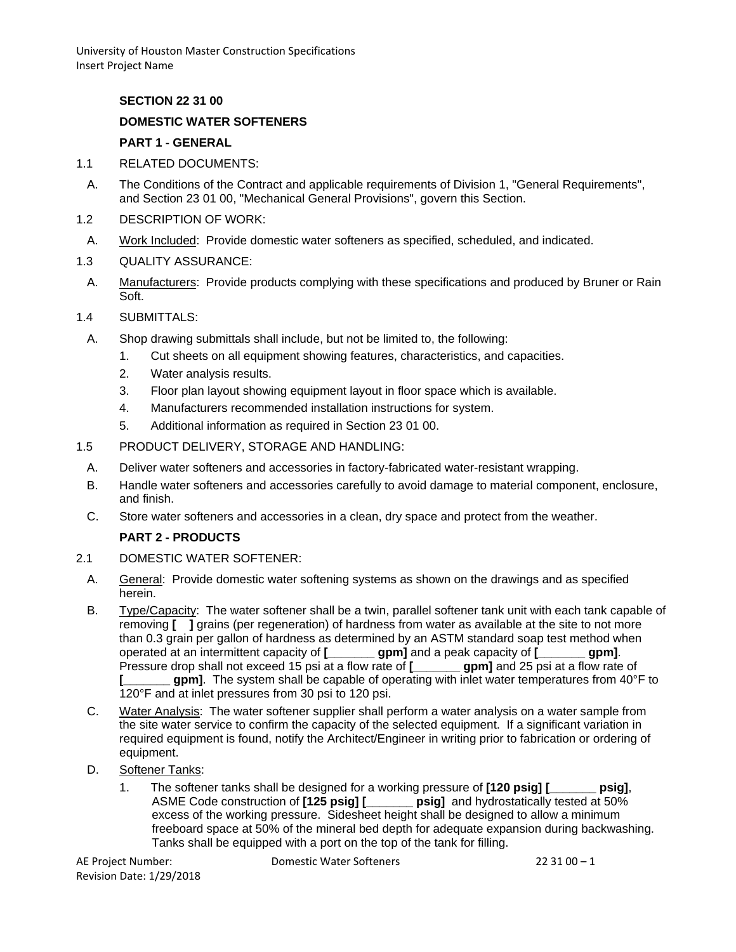## **SECTION 22 31 00**

## **DOMESTIC WATER SOFTENERS**

#### **PART 1 - GENERAL**

- 1.1 RELATED DOCUMENTS:
- A. The Conditions of the Contract and applicable requirements of Division 1, "General Requirements", and Section 23 01 00, "Mechanical General Provisions", govern this Section.
- 1.2 DESCRIPTION OF WORK:
- A. Work Included: Provide domestic water softeners as specified, scheduled, and indicated.
- 1.3 QUALITY ASSURANCE:
- A. Manufacturers: Provide products complying with these specifications and produced by Bruner or Rain Soft.
- 1.4 SUBMITTALS:
	- A. Shop drawing submittals shall include, but not be limited to, the following:
		- 1. Cut sheets on all equipment showing features, characteristics, and capacities.
		- 2. Water analysis results.
		- 3. Floor plan layout showing equipment layout in floor space which is available.
		- 4. Manufacturers recommended installation instructions for system.
		- 5. Additional information as required in Section 23 01 00.
- 1.5 PRODUCT DELIVERY, STORAGE AND HANDLING:
- A. Deliver water softeners and accessories in factory-fabricated water-resistant wrapping.
- B. Handle water softeners and accessories carefully to avoid damage to material component, enclosure, and finish.
- C. Store water softeners and accessories in a clean, dry space and protect from the weather.

#### **PART 2 - PRODUCTS**

#### 2.1 DOMESTIC WATER SOFTENER:

- A. General: Provide domestic water softening systems as shown on the drawings and as specified herein.
- B. Type/Capacity: The water softener shall be a twin, parallel softener tank unit with each tank capable of removing **[ ]** grains (per regeneration) of hardness from water as available at the site to not more than 0.3 grain per gallon of hardness as determined by an ASTM standard soap test method when operated at an intermittent capacity of **[\_\_\_\_\_\_\_ gpm]** and a peak capacity of **[\_\_\_\_\_\_\_ gpm]**. Pressure drop shall not exceed 15 psi at a flow rate of **[\_\_\_\_\_\_\_ gpm]** and 25 psi at a flow rate of **[\_\_\_\_\_\_\_ gpm]**. The system shall be capable of operating with inlet water temperatures from 40°F to 120°F and at inlet pressures from 30 psi to 120 psi.
- C. Water Analysis: The water softener supplier shall perform a water analysis on a water sample from the site water service to confirm the capacity of the selected equipment. If a significant variation in required equipment is found, notify the Architect/Engineer in writing prior to fabrication or ordering of equipment.
- D. Softener Tanks:
	- 1. The softener tanks shall be designed for a working pressure of **[120 psig] [\_\_\_\_\_\_\_ psig]**,<br>ASME Code construction of **[125 psig] [\_\_\_\_\_\_ psig]** and hydrostatically tested at 50% **psig]** and hydrostatically tested at 50% excess of the working pressure. Sidesheet height shall be designed to allow a minimum freeboard space at 50% of the mineral bed depth for adequate expansion during backwashing. Tanks shall be equipped with a port on the top of the tank for filling.

Revision Date: 1/29/2018

AE Project Number: Domestic Water Softeners 22 31 00 – 1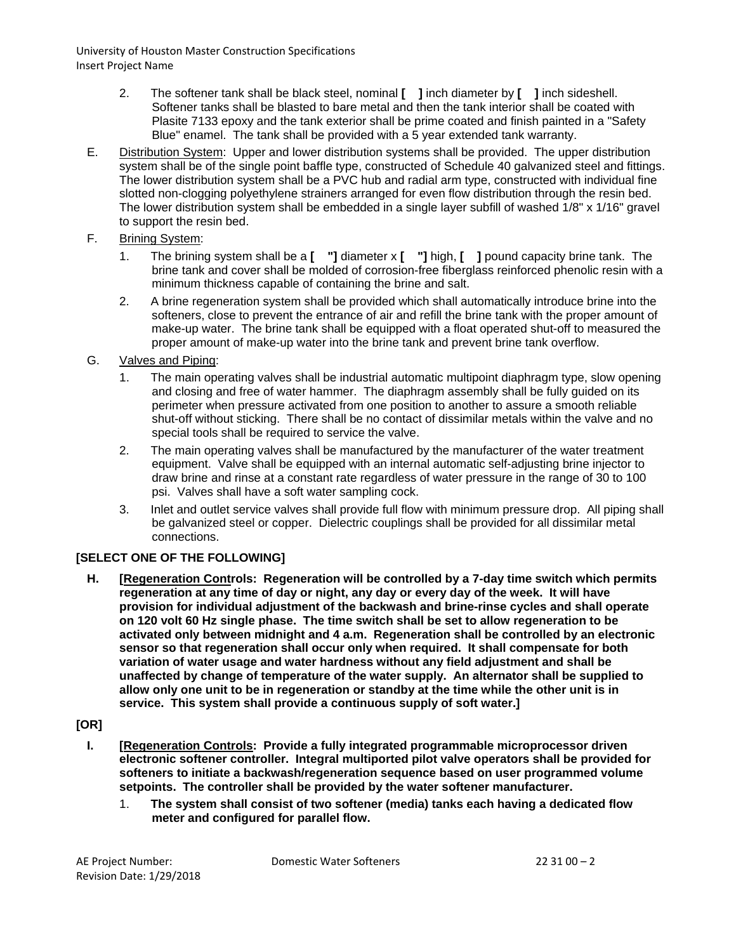- 2. The softener tank shall be black steel, nominal **[ ]** inch diameter by **[ ]** inch sideshell. Softener tanks shall be blasted to bare metal and then the tank interior shall be coated with Plasite 7133 epoxy and the tank exterior shall be prime coated and finish painted in a "Safety Blue" enamel. The tank shall be provided with a 5 year extended tank warranty.
- E. Distribution System: Upper and lower distribution systems shall be provided. The upper distribution system shall be of the single point baffle type, constructed of Schedule 40 galvanized steel and fittings. The lower distribution system shall be a PVC hub and radial arm type, constructed with individual fine slotted non-clogging polyethylene strainers arranged for even flow distribution through the resin bed. The lower distribution system shall be embedded in a single layer subfill of washed 1/8" x 1/16" gravel to support the resin bed.
- F. Brining System:
	- 1. The brining system shall be a **[ "]** diameter x **[ "]** high, **[ ]** pound capacity brine tank. The brine tank and cover shall be molded of corrosion-free fiberglass reinforced phenolic resin with a minimum thickness capable of containing the brine and salt.
	- 2. A brine regeneration system shall be provided which shall automatically introduce brine into the softeners, close to prevent the entrance of air and refill the brine tank with the proper amount of make-up water. The brine tank shall be equipped with a float operated shut-off to measured the proper amount of make-up water into the brine tank and prevent brine tank overflow.
- G. Valves and Piping:
	- 1. The main operating valves shall be industrial automatic multipoint diaphragm type, slow opening and closing and free of water hammer. The diaphragm assembly shall be fully guided on its perimeter when pressure activated from one position to another to assure a smooth reliable shut-off without sticking. There shall be no contact of dissimilar metals within the valve and no special tools shall be required to service the valve.
	- 2. The main operating valves shall be manufactured by the manufacturer of the water treatment equipment. Valve shall be equipped with an internal automatic self-adjusting brine injector to draw brine and rinse at a constant rate regardless of water pressure in the range of 30 to 100 psi. Valves shall have a soft water sampling cock.
	- 3. Inlet and outlet service valves shall provide full flow with minimum pressure drop. All piping shall be galvanized steel or copper. Dielectric couplings shall be provided for all dissimilar metal connections.

# **[SELECT ONE OF THE FOLLOWING]**

**H. [Regeneration Controls: Regeneration will be controlled by a 7-day time switch which permits regeneration at any time of day or night, any day or every day of the week. It will have provision for individual adjustment of the backwash and brine-rinse cycles and shall operate on 120 volt 60 Hz single phase. The time switch shall be set to allow regeneration to be activated only between midnight and 4 a.m. Regeneration shall be controlled by an electronic sensor so that regeneration shall occur only when required. It shall compensate for both variation of water usage and water hardness without any field adjustment and shall be unaffected by change of temperature of the water supply. An alternator shall be supplied to allow only one unit to be in regeneration or standby at the time while the other unit is in service. This system shall provide a continuous supply of soft water.]**

# **[OR]**

- **I. [Regeneration Controls: Provide a fully integrated programmable microprocessor driven electronic softener controller. Integral multiported pilot valve operators shall be provided for softeners to initiate a backwash/regeneration sequence based on user programmed volume setpoints. The controller shall be provided by the water softener manufacturer.**
	- 1. **The system shall consist of two softener (media) tanks each having a dedicated flow meter and configured for parallel flow.**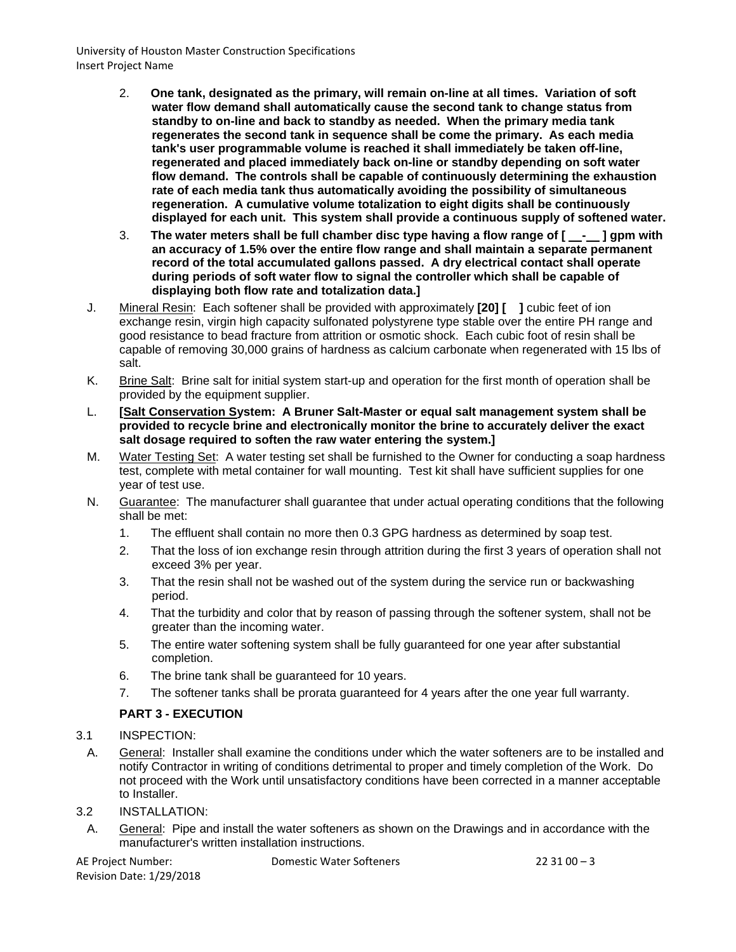- 2. **One tank, designated as the primary, will remain on-line at all times. Variation of soft water flow demand shall automatically cause the second tank to change status from standby to on-line and back to standby as needed. When the primary media tank regenerates the second tank in sequence shall be come the primary. As each media tank's user programmable volume is reached it shall immediately be taken off-line, regenerated and placed immediately back on-line or standby depending on soft water flow demand. The controls shall be capable of continuously determining the exhaustion rate of each media tank thus automatically avoiding the possibility of simultaneous regeneration. A cumulative volume totalization to eight digits shall be continuously displayed for each unit. This system shall provide a continuous supply of softened water.**
- 3. The water meters shall be full chamber disc type having a flow range of [ \_\_-\_ ] gpm with **an accuracy of 1.5% over the entire flow range and shall maintain a separate permanent record of the total accumulated gallons passed. A dry electrical contact shall operate during periods of soft water flow to signal the controller which shall be capable of displaying both flow rate and totalization data.]**
- J. Mineral Resin: Each softener shall be provided with approximately **[20] [ ]** cubic feet of ion exchange resin, virgin high capacity sulfonated polystyrene type stable over the entire PH range and good resistance to bead fracture from attrition or osmotic shock. Each cubic foot of resin shall be capable of removing 30,000 grains of hardness as calcium carbonate when regenerated with 15 lbs of salt.
- K. Brine Salt: Brine salt for initial system start-up and operation for the first month of operation shall be provided by the equipment supplier.
- L. **[Salt Conservation System: A Bruner Salt-Master or equal salt management system shall be provided to recycle brine and electronically monitor the brine to accurately deliver the exact salt dosage required to soften the raw water entering the system.]**
- M. Water Testing Set: A water testing set shall be furnished to the Owner for conducting a soap hardness test, complete with metal container for wall mounting. Test kit shall have sufficient supplies for one year of test use.
- N. Guarantee: The manufacturer shall guarantee that under actual operating conditions that the following shall be met:
	- 1. The effluent shall contain no more then 0.3 GPG hardness as determined by soap test.
	- 2. That the loss of ion exchange resin through attrition during the first 3 years of operation shall not exceed 3% per year.
	- 3. That the resin shall not be washed out of the system during the service run or backwashing period.
	- 4. That the turbidity and color that by reason of passing through the softener system, shall not be greater than the incoming water.
	- 5. The entire water softening system shall be fully guaranteed for one year after substantial completion.
	- 6. The brine tank shall be guaranteed for 10 years.
	- 7. The softener tanks shall be prorata guaranteed for 4 years after the one year full warranty.

# **PART 3 - EXECUTION**

#### 3.1 INSPECTION:

- A. General: Installer shall examine the conditions under which the water softeners are to be installed and notify Contractor in writing of conditions detrimental to proper and timely completion of the Work. Do not proceed with the Work until unsatisfactory conditions have been corrected in a manner acceptable to Installer.
- 3.2 INSTALLATION:
	- A. General: Pipe and install the water softeners as shown on the Drawings and in accordance with the manufacturer's written installation instructions.

Revision Date: 1/29/2018

AE Project Number: Domestic Water Softeners 22 31 00 – 3